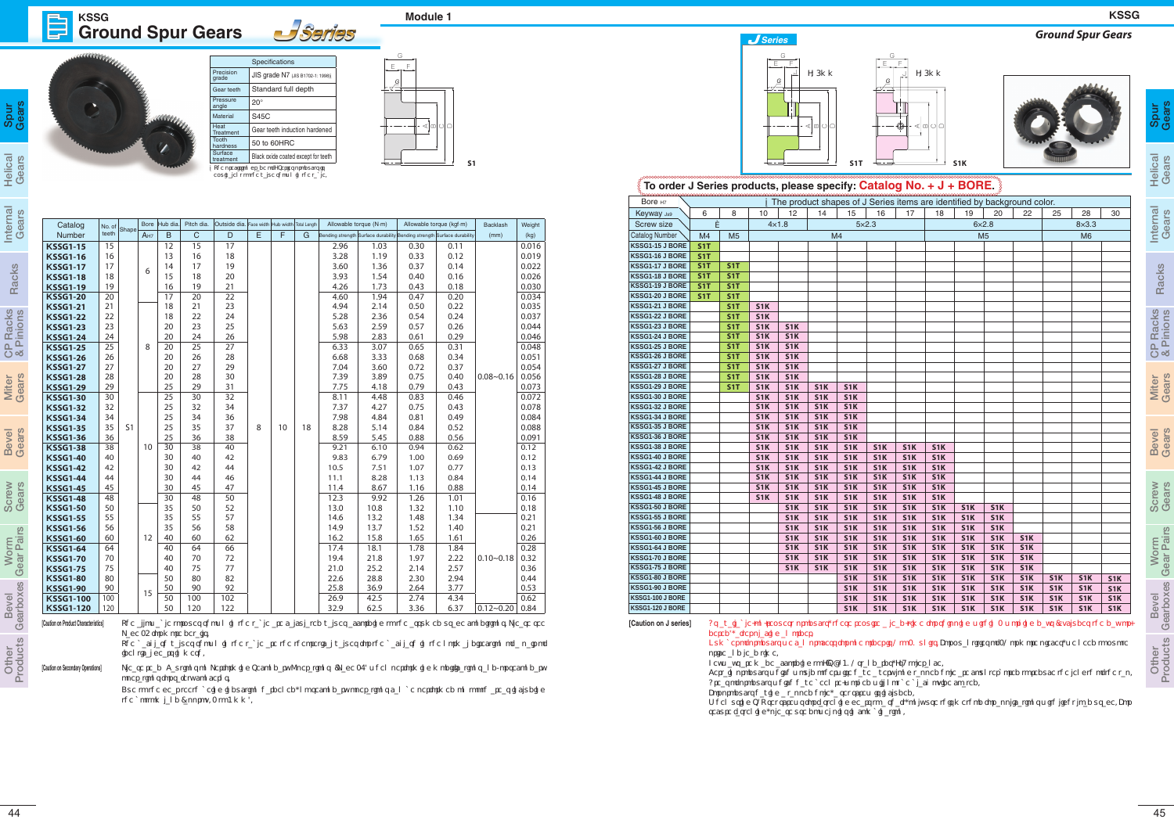| 目<br>Ground Spur Gears JSaries                   |                                      |                          | grade         | Precision<br>Gear teeth<br>Pressure                                     | Specifications<br>JIS grade N7 (JIS B1702-1: 1998)<br>Standard full depth                                                                                                                                        |    |    |                                |                           |              |                                         |                                                                                                                         |                                           |                                                                                                                                                                                                                                                      | $J$ Series   |                                      |                                      |                                      |                         |                                      |            |                                      |                                |                                                                                  | <b>Ground Spur Gears</b>                      |                |                         |
|--------------------------------------------------|--------------------------------------|--------------------------|---------------|-------------------------------------------------------------------------|------------------------------------------------------------------------------------------------------------------------------------------------------------------------------------------------------------------|----|----|--------------------------------|---------------------------|--------------|-----------------------------------------|-------------------------------------------------------------------------------------------------------------------------|-------------------------------------------|------------------------------------------------------------------------------------------------------------------------------------------------------------------------------------------------------------------------------------------------------|--------------|--------------------------------------|--------------------------------------|--------------------------------------|-------------------------|--------------------------------------|------------|--------------------------------------|--------------------------------|----------------------------------------------------------------------------------|-----------------------------------------------|----------------|-------------------------|
|                                                  |                                      |                          |               |                                                                         |                                                                                                                                                                                                                  |    |    |                                |                           |              |                                         |                                                                                                                         |                                           |                                                                                                                                                                                                                                                      |              |                                      |                                      |                                      |                         |                                      |            |                                      |                                |                                                                                  |                                               |                |                         |
|                                                  |                                      |                          | Heat<br>Tooth | angle<br>Material<br><b>Treatment</b><br>hardness<br>Surface<br>eatment | $20^{\circ}$<br><b>S45C</b><br>Gear teeth induction hardened<br>50 to 60HRC<br>Black oxide coated except for teet<br>* The precision grade of J Series products is<br>equivalent to the value shown in the table |    |    |                                | ∝⊐                        |              | ⊲lml⊖l∩                                 | S1                                                                                                                      |                                           | To order J Series products, please specify: Catalog No. + J + BORE.                                                                                                                                                                                  | $F - F$      |                                      | J=5mm                                | S <sub>1</sub> T                     |                         | $-\bigcirc$                          | J=5mm      | S <sub>1</sub> K                     |                                |                                                                                  |                                               |                |                         |
|                                                  |                                      |                          |               |                                                                         |                                                                                                                                                                                                                  |    |    |                                |                           |              |                                         |                                                                                                                         | Bore H7                                   | 10<br>8                                                                                                                                                                                                                                              |              | 12                                   | 14                                   | 15                                   | 16                      | 17                                   |            |                                      | 20                             | * The product shapes of J Series items are identified by background color.<br>22 | 25                                            | 28             | 30                      |
| Catalog<br>No. of                                | <b>Shape</b>                         | Bore Hub dia. Pitch dia. |               |                                                                         | Outside dia. Face width Hub width Total Lengt                                                                                                                                                                    |    |    | Allowable torque (N-m)         |                           |              | Allowable torque (kgf-m)                | Backlash                                                                                                                | Keyway Js9<br><b>Screw size</b>           | 6                                                                                                                                                                                                                                                    | $4\times1.8$ |                                      |                                      |                                      | $5\times2.3$            |                                      | 18         | 19<br>$6\times2.8$                   |                                |                                                                                  |                                               | $8\times3.3$   |                         |
| teeth<br>Number<br>15<br><b>KSSG1-15</b>         | $A_{H7}$                             | B<br>12                  | C<br>15       | D<br>17                                                                 | E<br>-F                                                                                                                                                                                                          |    | G  | <b>Bending strengt</b><br>2.96 | Surface durabilit<br>1.03 | 0.30         | nding strength Surface durabili<br>0.11 | (mm)                                                                                                                    | Catalog Number<br>KSSG1-15 J BORE         | M4<br>M <sub>5</sub><br>S1T                                                                                                                                                                                                                          |              |                                      | M4                                   |                                      |                         |                                      |            |                                      | M5                             |                                                                                  |                                               | M <sub>6</sub> |                         |
| <b>KSSG1-16</b><br>16                            |                                      | 13                       | 16            | 18                                                                      |                                                                                                                                                                                                                  |    |    | 3.28                           | 1.19                      | 0.33         | 0.12                                    |                                                                                                                         | KSSG1-16 J BORE                           | S1T                                                                                                                                                                                                                                                  |              |                                      |                                      |                                      |                         |                                      |            |                                      |                                |                                                                                  |                                               |                |                         |
| <b>KSSG1-17</b><br><b>KSSG1-18</b>               | 6                                    | 14<br>15                 | 17<br>18      | 19<br>20                                                                |                                                                                                                                                                                                                  |    |    | 3.60<br>3.93                   | 1.36<br>1.54              | 0.37<br>0.40 | 0.14<br>0.16                            |                                                                                                                         | <b>KSSG1-17 J BORE</b><br>KSSG1-18 J BORE | S1T<br>$\vert$ S1T<br>S1T<br>S1T                                                                                                                                                                                                                     |              |                                      |                                      |                                      |                         |                                      |            |                                      |                                |                                                                                  |                                               |                |                         |
| 19<br><b>KSSG1-19</b><br>20<br><b>KSSG1-20</b>   |                                      | 16<br>17                 | 19<br>20      | 21<br>22                                                                |                                                                                                                                                                                                                  |    |    | 4.26<br>4.60                   | 1.73<br>1.94              | 0.43<br>0.47 | 0.18<br>0.20                            |                                                                                                                         | KSSG1-19 J BORE<br>KSSG1-20 J BORE        | S1T<br>S1T<br>S1T<br><b>S1T</b>                                                                                                                                                                                                                      |              |                                      |                                      |                                      |                         |                                      |            |                                      |                                |                                                                                  |                                               |                |                         |
| <b>KSSG1-21</b>                                  |                                      | 18                       | 21            | 23                                                                      |                                                                                                                                                                                                                  |    |    | 4.94                           | 2.14                      | 0.50         | 0.22                                    |                                                                                                                         | KSSG1-21 J BORE                           | <b>S1K</b><br>S <sub>1</sub> T                                                                                                                                                                                                                       |              |                                      |                                      |                                      |                         |                                      |            |                                      |                                |                                                                                  |                                               |                |                         |
| 22<br><b>KSSG1-22</b><br>23<br><b>KSSG1-23</b>   |                                      | 18<br>20                 | 22<br>23      | 24<br>25                                                                |                                                                                                                                                                                                                  |    |    | 5.28<br>5.63                   | 2.36<br>2.59              | 0.54<br>0.57 | 0.24<br>0.26                            |                                                                                                                         | KSSG1-22 J BORE<br>KSSG1-23 J BORE        | S1K<br>S <sub>1</sub> T<br>S1T<br>S <sub>1</sub> K                                                                                                                                                                                                   |              | S <sub>1</sub> K                     |                                      |                                      |                         |                                      |            |                                      |                                |                                                                                  |                                               |                |                         |
| 24<br><b>KSSG1-24</b>                            | 8                                    | 20                       | 24            | 26<br>27                                                                |                                                                                                                                                                                                                  |    |    | 5.98                           | 2.83                      | 0.61         | 0.29                                    |                                                                                                                         | KSSG1-24 J BORE<br>KSSG1-25 J BORE        | S1K<br>S <sub>1</sub> T<br>S <sub>1</sub> K<br>S <sub>1</sub> T                                                                                                                                                                                      |              | S <sub>1</sub> K<br>S <sub>1</sub> K |                                      |                                      |                         |                                      |            |                                      |                                |                                                                                  |                                               |                |                         |
| 25<br><b>KSSG1-25</b><br>26<br><b>KSSG1-26</b>   |                                      | 20<br>20                 | 25<br>26      | 28                                                                      |                                                                                                                                                                                                                  |    |    | 6.33<br>6.68                   | 3.07<br>3.33              | 0.65<br>0.68 | 0.31<br>0.34                            |                                                                                                                         | KSSG1-26 J BORE                           | S1K<br>S <sub>1</sub> T                                                                                                                                                                                                                              |              | S <sub>1</sub> K                     |                                      |                                      |                         |                                      |            |                                      |                                |                                                                                  |                                               |                |                         |
| 27<br><b>KSSG1-27</b><br>28<br><b>KSSG1-28</b>   |                                      | 20<br>$20\,$             | 27<br>28      | 29<br>30                                                                |                                                                                                                                                                                                                  |    |    | 7.04<br>7.39                   | 3.60<br>3.89              | 0.72<br>0.75 | 0.37<br>0.40                            | $0.08 - 0.16$                                                                                                           | KSSG1-27 J BORE<br>KSSG1-28 J BORE        | S <sub>1</sub> K<br>S <sub>1</sub> T<br>S <sub>1</sub> K<br>S <sub>1</sub> T                                                                                                                                                                         |              | S <sub>1</sub> K<br>S <sub>1</sub> K |                                      |                                      |                         |                                      |            |                                      |                                |                                                                                  |                                               |                |                         |
| 29<br><b>KSSG1-29</b>                            |                                      | 25                       | 29            | 31                                                                      |                                                                                                                                                                                                                  |    |    | 7.75                           | 4.18                      | 0.79         | 0.43                                    |                                                                                                                         | KSSG1-29 J BORE                           | $\Big $ S1K<br>S <sub>1</sub> T                                                                                                                                                                                                                      |              | S <sub>1</sub> K                     | S1K                                  | S <sub>1</sub> K                     |                         |                                      |            |                                      |                                |                                                                                  |                                               |                |                         |
| 30<br><b>KSSG1-30</b><br>32<br><b>KSSG1-32</b>   |                                      | 25<br>25                 | 30<br>32      | 32<br>34                                                                |                                                                                                                                                                                                                  |    |    | 8.11<br>7.37                   | 4.48<br>4.27              | 0.83<br>0.75 | 0.46<br>0.43                            |                                                                                                                         | KSSG1-30 J BORE<br>KSSG1-32 J BORE        | S <sub>1</sub> K<br>S <sub>1</sub> K                                                                                                                                                                                                                 |              | S <sub>1</sub> K<br>S <sub>1</sub> K | S1K<br>S <sub>1</sub> K              | S <sub>1</sub> K<br>S <sub>1</sub> K |                         |                                      |            |                                      |                                |                                                                                  |                                               |                |                         |
| <b>KSSG1-34</b><br>34<br>$35$ S1                 |                                      | 25                       | 34            | 36                                                                      |                                                                                                                                                                                                                  |    |    | 7.98                           | 4.84                      | 0.81         | 0.49                                    |                                                                                                                         | KSSG1-34 J BORE<br>KSSG1-35 J BORE        | S <sub>1</sub> K                                                                                                                                                                                                                                     |              | S <sub>1</sub> K                     | S <sub>1</sub> K                     | S <sub>1</sub> K<br>S <sub>1</sub> K |                         |                                      |            |                                      |                                |                                                                                  |                                               |                |                         |
| <b>KSSG1-35</b><br>36<br><b>KSSG1-36</b>         |                                      | 25<br>25                 | 35<br>36      | 37<br>38                                                                | 8                                                                                                                                                                                                                | 10 | 18 | 8.28<br>8.59                   | 5.14<br>5.45              | 0.84<br>0.88 | 0.52<br>0.56                            |                                                                                                                         | KSSG1-36 J BORE                           | S <sub>1</sub> K<br>S <sub>1</sub> K                                                                                                                                                                                                                 |              | S <sub>1</sub> K<br>S <sub>1</sub> K | S <sub>1</sub> K<br>S <sub>1</sub> K | S <sub>1</sub> K                     |                         |                                      |            |                                      |                                |                                                                                  |                                               |                |                         |
| <b>KSSG1-38</b><br>38<br>40<br><b>KSSG1-40</b>   | 10 <sup>1</sup>                      | 30<br>$30\,$             | 38<br>40      | 40<br>42                                                                |                                                                                                                                                                                                                  |    |    | 9.21<br>9.83                   | 6.10<br>6.79              | 0.94<br>1.00 | 0.62<br>0.69                            |                                                                                                                         | KSSG1-38 J BORE<br>KSSG1-40 J BORE        | S <sub>1</sub> K<br>S <sub>1</sub> K                                                                                                                                                                                                                 |              | S <sub>1</sub> K<br>S <sub>1</sub> K | S <sub>1</sub> K<br>S1K              | S <sub>1</sub> K<br>S <sub>1</sub> K | S <sub>1</sub> K<br>S1K | S <sub>1</sub> K<br>S1K              | S1K<br>S1K |                                      |                                |                                                                                  |                                               |                |                         |
| 42<br><b>KSSG1-42</b>                            |                                      | 30                       | 42            | 44                                                                      |                                                                                                                                                                                                                  |    |    | 10.5                           | 7.51                      | 1.07         | 0.77                                    |                                                                                                                         | KSSG1-42 J BORE                           | S <sub>1</sub> K                                                                                                                                                                                                                                     |              | S <sub>1</sub> K                     | S1K                                  | S <sub>1</sub> K                     | S <sub>1</sub> K        | S1K                                  | S1K        |                                      |                                |                                                                                  |                                               |                |                         |
| 44<br><b>KSSG1-44</b><br>45<br><b>KSSG1-45</b>   |                                      | 30<br>30                 | 44<br>45      | 46<br>47                                                                |                                                                                                                                                                                                                  |    |    | 11.1<br>11.4                   | 8.28<br>8.67              | 1.13<br>1.16 | 0.84<br>0.88                            |                                                                                                                         | KSSG1-44 J BORE<br>KSSG1-45 J BORE        | S <sub>1</sub> K<br>S <sub>1</sub> K                                                                                                                                                                                                                 |              | S <sub>1</sub> K<br>S <sub>1</sub> K | S1K<br>S1K                           | S1K<br>S1K                           | S1K<br>S1K              | S <sub>1</sub> K<br>S <sub>1</sub> K | S1K<br>S1K |                                      |                                |                                                                                  |                                               |                |                         |
| 48<br><b>KSSG1-48</b>                            |                                      | 30                       | 48            | 50                                                                      |                                                                                                                                                                                                                  |    |    | 12.3                           | 9.92                      | 1.26         | 1.01                                    |                                                                                                                         | KSSG1-48 J BORE<br>KSSG1-50 J BORE        | <b>S1K</b>                                                                                                                                                                                                                                           |              | S <sub>1</sub> K                     | S1K                                  | S <sub>1</sub> K<br>S1K              | S1K<br>S1K              | S1K<br>S1K                           | S1K<br>S1K | $S1K$ S1K                            |                                |                                                                                  |                                               |                |                         |
| 50<br><b>KSSG1-50</b><br>55<br><b>KSSG1-55</b>   |                                      | 35<br>35                 | 50<br>55      | 52<br>57                                                                |                                                                                                                                                                                                                  |    |    | 13.0<br>14.6                   | 10.8<br>13.2              | 1.32<br>1.48 | 1.10<br>1.34                            |                                                                                                                         | KSSG1-55 J BORE                           |                                                                                                                                                                                                                                                      |              | S <sub>1</sub> K<br>S <sub>1</sub> K | S1K<br>S1K                           | S1K                                  | S1K                     | S1K                                  | S1K        | S1K                                  | S1K                            |                                                                                  |                                               |                |                         |
| 56<br><b>KSSG1-56</b><br>60<br><b>KSSG1-60</b>   | 12 <sup>2</sup>                      | 35<br>40                 | 56<br>60      | 58<br>62                                                                |                                                                                                                                                                                                                  |    |    | 14.9<br>16.2                   | 13.7<br>15.8              | 1.52<br>1.65 | 1.40<br>1.61                            |                                                                                                                         | KSSG1-56 J BORE<br>KSSG1-60 J BORE        |                                                                                                                                                                                                                                                      |              | S <sub>1</sub> K<br>S <sub>1</sub> K | S1K<br>S1K                           | S1K<br>S1K                           | S1K<br>S1K              | S <sub>1</sub> K<br>S1K              | S1K        | <b>S1K</b>   S1K   S1K<br><b>S1K</b> | S1K                            | $\vert$ S1K                                                                      |                                               |                |                         |
| 64<br><b>KSSG1-64</b>                            |                                      | 40                       | 64            | 66                                                                      |                                                                                                                                                                                                                  |    |    | 17.4                           | 18.1                      | 1.78         | 1.84                                    |                                                                                                                         | KSSG1-64 J BORE                           |                                                                                                                                                                                                                                                      |              | S <sub>1</sub> K                     | S1K                                  | S1K                                  | S1K                     | S1K                                  | S1K        | S1K                                  | S1K                            | $\sqrt{S1K}$                                                                     |                                               |                |                         |
| 70<br><b>KSSG1-70</b><br>75<br><b>KSSG1-75</b>   |                                      | 40<br>40                 | 70<br>75      | 72<br>77                                                                |                                                                                                                                                                                                                  |    |    | 19.4<br>21.0                   | 21.8<br>25.2              | 1.97<br>2.14 | 2.22<br>2.57                            | $0.10 - 0.18$ 0.32                                                                                                      | KSSG1-70 J BORE<br>KSSG1-75 J BORE        |                                                                                                                                                                                                                                                      |              | S <sub>1</sub> K<br>S <sub>1</sub> K | S1K<br>S1K                           | S1K<br>S <sub>1</sub> K              | S1K<br>S1K              | S1K<br>S <sub>1</sub> K              | S1K<br>S1K | S1K<br>S1K                           | S1K<br>S1K                     | $\sqrt{51K}$<br>$\Big $ S1K                                                      |                                               |                |                         |
| 80<br><b>KSSG1-80</b>                            |                                      | 50                       | 80            | 82                                                                      |                                                                                                                                                                                                                  |    |    | 22.6                           | 28.8                      | 2.30         | 2.94                                    |                                                                                                                         | KSSG1-80 J BORE<br>KSSG1-90 J BORE        |                                                                                                                                                                                                                                                      |              |                                      |                                      | S <sub>1</sub> K                     | S1K                     | S <sub>1</sub> K                     |            | $S1K$ $S1K$                          | S1K<br>$S1K$ $S1K$ $S1K$ $S1K$ | $\sqrt{S1K}$                                                                     | S1K<br>$\vert$ S1K                            |                | $ $ S1K                 |
| 90<br><b>KSSG1-90</b><br>100<br><b>KSSG1-100</b> | 15                                   | 50<br>50                 | 90<br>100     | 92<br>102                                                               |                                                                                                                                                                                                                  |    |    | 25.8<br>26.9                   | 36.9<br>42.5              | 2.64<br>2.74 | 3.77<br>4.34                            |                                                                                                                         | KSSG1-100 J BORE                          |                                                                                                                                                                                                                                                      |              |                                      |                                      | S <sub>1</sub> K<br>S <sub>1</sub> K | S1K<br>S1K              | S1K<br>S1K                           |            |                                      |                                | S1K   S1K   S1K   S1K   S1K                                                      | <b>S1K</b><br>$\vert$ S1K                     | S1K            | S <sub>1</sub> K<br>S1K |
| 120<br><b>KSSG1-120</b>                          |                                      | 50                       | 120           | 122                                                                     |                                                                                                                                                                                                                  |    |    | 32.9                           | 62.5                      | 3.36         | 6.37                                    | $\boxed{0.12}$ ~0.20 0.84                                                                                               | KSSG1-120 J BORE                          |                                                                                                                                                                                                                                                      |              |                                      |                                      |                                      | $S1K$ $S1K$             |                                      |            |                                      |                                |                                                                                  | S1K   S1K   S1K   S1K   S1K   S1K   S1K   S1K |                |                         |
| [Caution on Product Characteristics]             | Page 24 for more details.            |                          |               |                                                                         |                                                                                                                                                                                                                  |    |    |                                |                           |              |                                         | The allowable torques shown in the table are calculated values according to the assumed usage conditions. Please see    | [Caution on J series]                     | As available-on-request products, these require a lead-time for shipping within 2 working days (excludes the day or-<br>dered), after placing an order.                                                                                              |              |                                      |                                      |                                      |                         |                                      |            |                                      |                                |                                                                                  |                                               |                |                         |
|                                                  |                                      |                          |               |                                                                         |                                                                                                                                                                                                                  |    |    |                                |                           |              |                                         | The backlash values shown in the table are the theoretical values for the backlash in the normal direction of a pair of |                                           | Number of products we can process for one order is 1 to 20 units. For quantities of 21 or more pieces, we need to quote<br>price and lead time.                                                                                                      |              |                                      |                                      |                                      |                         |                                      |            |                                      |                                |                                                                                  |                                               |                |                         |
| [Caution on Secondary Operations]                | identical gears in mesh.             |                          |               |                                                                         |                                                                                                                                                                                                                  |    |    |                                |                           |              |                                         | Please read "Cautions on Performing Secondary Operations" (Page 26) when performing modifications and/or secondary      |                                           | Keyways are made according to JIS B1301 standards, Js9 tolerance.                                                                                                                                                                                    |              |                                      |                                      |                                      |                         |                                      |            |                                      |                                |                                                                                  |                                               |                |                         |
|                                                  | operations for safety concerns.      |                          |               |                                                                         |                                                                                                                                                                                                                  |    |    |                                |                           |              |                                         |                                                                                                                         |                                           | Certain products which would otherwise have a very long tapped hole are counterbored to reduce the length of the tap.<br>Areas of products which have been re-worked will not be black oxide coated.                                                 |              |                                      |                                      |                                      |                         |                                      |            |                                      |                                |                                                                                  |                                               |                |                         |
|                                                  | the bottom land (approx. 2 to 3 mm). |                          |               |                                                                         |                                                                                                                                                                                                                  |    |    |                                |                           |              |                                         | Due to the gear teeth being induction hardened, no secondary operations can be performed on tooth areas including       |                                           | For products having a tapped hole, a set screw is included.<br>When using S1T set screws for fastening gears to a shaft, only use this method for applications with light load usage. For<br>secure fastening, please use dowel pins in combination. |              |                                      |                                      |                                      |                         |                                      |            |                                      |                                |                                                                                  |                                               |                |                         |





| To order J Series products, please specify: Catalog No. + J + BORE. |                  |                  |                  |                  |                  |                  |                  |                  |                  |                  |                                                                            |                  |                  |                  |                  |
|---------------------------------------------------------------------|------------------|------------------|------------------|------------------|------------------|------------------|------------------|------------------|------------------|------------------|----------------------------------------------------------------------------|------------------|------------------|------------------|------------------|
| Bore H7                                                             |                  |                  |                  |                  |                  |                  |                  |                  |                  |                  | * The product shapes of J Series items are identified by background color. |                  |                  |                  |                  |
| Keyway Js9                                                          | 6                | 8                | 10               | 12               | 14               | 15               | 16               | 17               | 18               | 19               | 20                                                                         | 22               | 25               | 28               | 30               |
| <b>Screw size</b>                                                   |                  |                  | $4\times1.8$     |                  |                  | $5\times2.3$     |                  |                  |                  |                  | $6\times2.8$                                                               |                  |                  | $8\times3.3$     |                  |
| <b>Catalog Number</b>                                               | M <sub>4</sub>   | M <sub>5</sub>   |                  |                  | M <sub>4</sub>   |                  |                  |                  |                  | M <sub>5</sub>   |                                                                            | M <sub>6</sub>   |                  |                  |                  |
| KSSG1-15 J BORE                                                     | S <sub>1</sub> T |                  |                  |                  |                  |                  |                  |                  |                  |                  |                                                                            |                  |                  |                  |                  |
| KSSG1-16 J BORE                                                     | S <sub>1</sub> T |                  |                  |                  |                  |                  |                  |                  |                  |                  |                                                                            |                  |                  |                  |                  |
| KSSG1-17 J BORE                                                     | S <sub>1</sub> T | S1T              |                  |                  |                  |                  |                  |                  |                  |                  |                                                                            |                  |                  |                  |                  |
| KSSG1-18 J BORE                                                     | S <sub>1</sub> T | S <sub>1</sub> T |                  |                  |                  |                  |                  |                  |                  |                  |                                                                            |                  |                  |                  |                  |
| <b>KSSG1-19 J BORE</b>                                              | S1T              | S1T              |                  |                  |                  |                  |                  |                  |                  |                  |                                                                            |                  |                  |                  |                  |
| KSSG1-20 J BORE                                                     | S <sub>1</sub> T | S <sub>1</sub> T |                  |                  |                  |                  |                  |                  |                  |                  |                                                                            |                  |                  |                  |                  |
| KSSG1-21 J BORE                                                     |                  | S <sub>1</sub> T | S <sub>1</sub> K |                  |                  |                  |                  |                  |                  |                  |                                                                            |                  |                  |                  |                  |
| KSSG1-22 J BORE                                                     |                  | S <sub>1</sub> T | S <sub>1</sub> K |                  |                  |                  |                  |                  |                  |                  |                                                                            |                  |                  |                  |                  |
| KSSG1-23 J BORE                                                     |                  | S <sub>1</sub> T | S <sub>1</sub> K | S <sub>1</sub> K |                  |                  |                  |                  |                  |                  |                                                                            |                  |                  |                  |                  |
| KSSG1-24 J BORE                                                     |                  | S <sub>1</sub> T | S <sub>1</sub> K | S <sub>1</sub> K |                  |                  |                  |                  |                  |                  |                                                                            |                  |                  |                  |                  |
| KSSG1-25 J BORE                                                     |                  | S <sub>1</sub> T | S <sub>1</sub> K | S <sub>1</sub> K |                  |                  |                  |                  |                  |                  |                                                                            |                  |                  |                  |                  |
| KSSG1-26 J BORE                                                     |                  | S <sub>1</sub> T | S <sub>1</sub> K | S <sub>1</sub> K |                  |                  |                  |                  |                  |                  |                                                                            |                  |                  |                  |                  |
| <b>KSSG1-27 J BORE</b>                                              |                  | S1T              | <b>S1K</b>       | S <sub>1</sub> K |                  |                  |                  |                  |                  |                  |                                                                            |                  |                  |                  |                  |
| KSSG1-28 J BORE                                                     |                  | S <sub>1</sub> T | S <sub>1</sub> K | S <sub>1</sub> K |                  |                  |                  |                  |                  |                  |                                                                            |                  |                  |                  |                  |
| KSSG1-29 J BORE                                                     |                  | S <sub>1</sub> T | S <sub>1</sub> K | S <sub>1</sub> K | S <sub>1</sub> K | S <sub>1</sub> K |                  |                  |                  |                  |                                                                            |                  |                  |                  |                  |
| KSSG1-30 J BORE                                                     |                  |                  | <b>S1K</b>       | S <sub>1</sub> K | S <sub>1</sub> K | <b>S1K</b>       |                  |                  |                  |                  |                                                                            |                  |                  |                  |                  |
| KSSG1-32 J BORE                                                     |                  |                  | S <sub>1</sub> K | S <sub>1</sub> K | S <sub>1</sub> K | S <sub>1</sub> K |                  |                  |                  |                  |                                                                            |                  |                  |                  |                  |
| KSSG1-34 J BORE                                                     |                  |                  | S <sub>1</sub> K | S <sub>1</sub> K | S <sub>1</sub> K | S <sub>1</sub> K |                  |                  |                  |                  |                                                                            |                  |                  |                  |                  |
| KSSG1-35 J BORE                                                     |                  |                  | S <sub>1</sub> K | S <sub>1</sub> K | S <sub>1</sub> K | S <sub>1</sub> K |                  |                  |                  |                  |                                                                            |                  |                  |                  |                  |
| KSSG1-36 J BORE                                                     |                  |                  | <b>S1K</b>       | S <sub>1</sub> K | S <sub>1</sub> K | S <sub>1</sub> K |                  |                  |                  |                  |                                                                            |                  |                  |                  |                  |
| KSSG1-38 J BORE                                                     |                  |                  | S <sub>1</sub> K | S <sub>1</sub> K | S <sub>1</sub> K | S <sub>1</sub> K | S <sub>1</sub> K | S <sub>1</sub> K | S <sub>1</sub> K |                  |                                                                            |                  |                  |                  |                  |
| KSSG1-40 J BORE                                                     |                  |                  | S <sub>1</sub> K | S <sub>1</sub> K | S <sub>1</sub> K | S <sub>1</sub> K | S <sub>1</sub> K | S <sub>1</sub> K | <b>S1K</b>       |                  |                                                                            |                  |                  |                  |                  |
| KSSG1-42 J BORE                                                     |                  |                  | <b>S1K</b>       | S <sub>1</sub> K | S <sub>1</sub> K | <b>S1K</b>       | S <sub>1</sub> K | S <sub>1</sub> K | <b>S1K</b>       |                  |                                                                            |                  |                  |                  |                  |
| KSSG1-44 J BORE                                                     |                  |                  | S <sub>1</sub> K | S <sub>1</sub> K | S <sub>1</sub> K | S <sub>1</sub> K | S <sub>1</sub> K | S <sub>1</sub> K | S <sub>1</sub> K |                  |                                                                            |                  |                  |                  |                  |
| KSSG1-45 J BORE                                                     |                  |                  | S <sub>1</sub> K | S <sub>1</sub> K | S <sub>1</sub> K | S <sub>1</sub> K | S <sub>1</sub> K | S <sub>1</sub> K | S <sub>1</sub> K |                  |                                                                            |                  |                  |                  |                  |
| KSSG1-48 J BORE                                                     |                  |                  | S <sub>1</sub> K | S <sub>1</sub> K | S <sub>1</sub> K | S <sub>1</sub> K | S <sub>1</sub> K | S <sub>1</sub> K | S <sub>1</sub> K |                  |                                                                            |                  |                  |                  |                  |
| KSSG1-50 J BORE                                                     |                  |                  |                  | S <sub>1</sub> K | S <sub>1</sub> K | S <sub>1</sub> K | S <sub>1</sub> K | S <sub>1</sub> K | S <sub>1</sub> K | S <sub>1</sub> K | <b>S1K</b>                                                                 |                  |                  |                  |                  |
| KSSG1-55 J BORE                                                     |                  |                  |                  | S <sub>1</sub> K | S <sub>1</sub> K | S <sub>1</sub> K | S <sub>1</sub> K | S <sub>1</sub> K | S <sub>1</sub> K | S <sub>1</sub> K | S <sub>1</sub> K                                                           |                  |                  |                  |                  |
| KSSG1-56 J BORE                                                     |                  |                  |                  | S <sub>1</sub> K | S <sub>1</sub> K | S <sub>1</sub> K | S <sub>1</sub> K | S <sub>1</sub> K | <b>S1K</b>       | S <sub>1</sub> K | S <sub>1</sub> K                                                           |                  |                  |                  |                  |
| KSSG1-60 J BORE                                                     |                  |                  |                  | S <sub>1</sub> K | S <sub>1</sub> K | S <sub>1</sub> K | S <sub>1</sub> K | S <sub>1</sub> K | S <sub>1</sub> K | S <sub>1</sub> K | S <sub>1</sub> K                                                           | S <sub>1</sub> K |                  |                  |                  |
| KSSG1-64 J BORE                                                     |                  |                  |                  | S <sub>1</sub> K | S <sub>1</sub> K | S <sub>1</sub> K | S <sub>1</sub> K | S <sub>1</sub> K | <b>S1K</b>       | S <sub>1</sub> K | S <sub>1</sub> K                                                           | S <sub>1</sub> K |                  |                  |                  |
| KSSG1-70 J BORE                                                     |                  |                  |                  | S <sub>1</sub> K | S <sub>1</sub> K | S <sub>1</sub> K | S <sub>1</sub> K | S <sub>1</sub> K | S <sub>1</sub> K | S <sub>1</sub> K | S <sub>1</sub> K                                                           | S <sub>1</sub> K |                  |                  |                  |
| KSSG1-75 J BORE                                                     |                  |                  |                  | S <sub>1</sub> K | S <sub>1</sub> K | S <sub>1</sub> K | S <sub>1</sub> K | S <sub>1</sub> K | S <sub>1</sub> K | S <sub>1</sub> K | S <sub>1</sub> K                                                           | S <sub>1</sub> K |                  |                  |                  |
| KSSG1-80 J BORE                                                     |                  |                  |                  |                  |                  | S <sub>1</sub> K | S <sub>1</sub> K | S <sub>1</sub> K | S <sub>1</sub> K | S <sub>1</sub> K | S <sub>1</sub> K                                                           | S <sub>1</sub> K | <b>S1K</b>       | <b>S1K</b>       | <b>S1K</b>       |
| KSSG1-90 J BORE                                                     |                  |                  |                  |                  |                  | S <sub>1</sub> K | S <sub>1</sub> K | S <sub>1</sub> K | S <sub>1</sub> K | S <sub>1</sub> K | S <sub>1</sub> K                                                           | S <sub>1</sub> K | S <sub>1</sub> K | S <sub>1</sub> K | S <sub>1</sub> K |
| KSSG1-100 J BORE                                                    |                  |                  |                  |                  |                  | S <sub>1</sub> K | S <sub>1</sub> K | S <sub>1</sub> K | S <sub>1</sub> K | S <sub>1</sub> K | S <sub>1</sub> K                                                           | S <sub>1</sub> K | S <sub>1</sub> K | S <sub>1</sub> K | S <sub>1</sub> K |
| KSSG1-120 J BORE                                                    |                  |                  |                  |                  |                  | S <sub>1</sub> K | S <sub>1</sub> K | S <sub>1</sub> K | S <sub>1</sub> K | S <sub>1</sub> K | S <sub>1</sub> K                                                           | S <sub>1</sub> K | S <sub>1</sub> K | S <sub>1</sub> K | S <sub>1</sub> K |